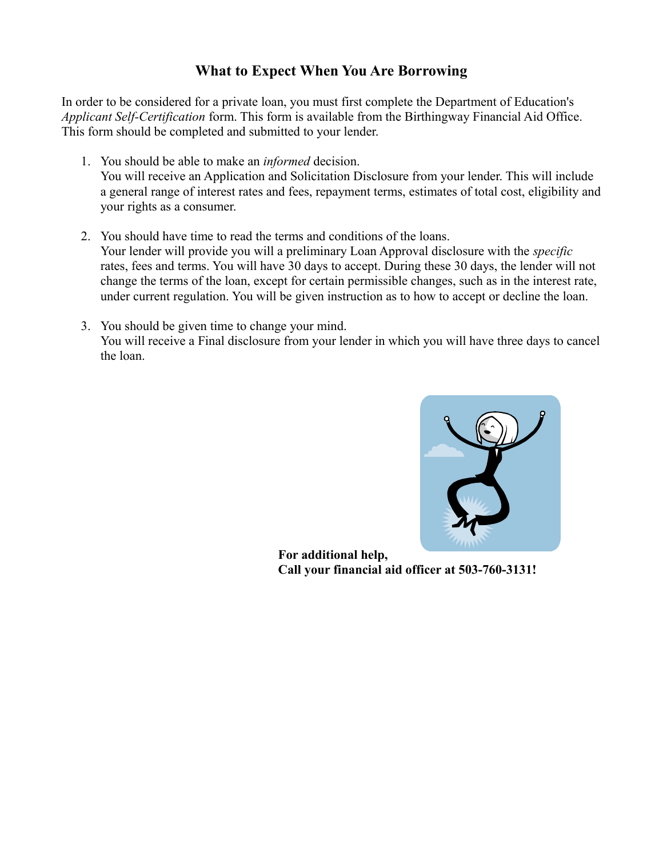## **What to Expect When You Are Borrowing**

In order to be considered for a private loan, you must first complete the Department of Education's *Applicant Self-Certification* form. This form is available from the Birthingway Financial Aid Office. This form should be completed and submitted to your lender.

- 1. You should be able to make an *informed* decision. You will receive an Application and Solicitation Disclosure from your lender. This will include a general range of interest rates and fees, repayment terms, estimates of total cost, eligibility and your rights as a consumer.
- 2. You should have time to read the terms and conditions of the loans. Your lender will provide you will a preliminary Loan Approval disclosure with the *specific* rates, fees and terms. You will have 30 days to accept. During these 30 days, the lender will not change the terms of the loan, except for certain permissible changes, such as in the interest rate, under current regulation. You will be given instruction as to how to accept or decline the loan.
- 3. You should be given time to change your mind. You will receive a Final disclosure from your lender in which you will have three days to cancel the loan.



**For additional help, Call your financial aid officer at 503-760-3131!**